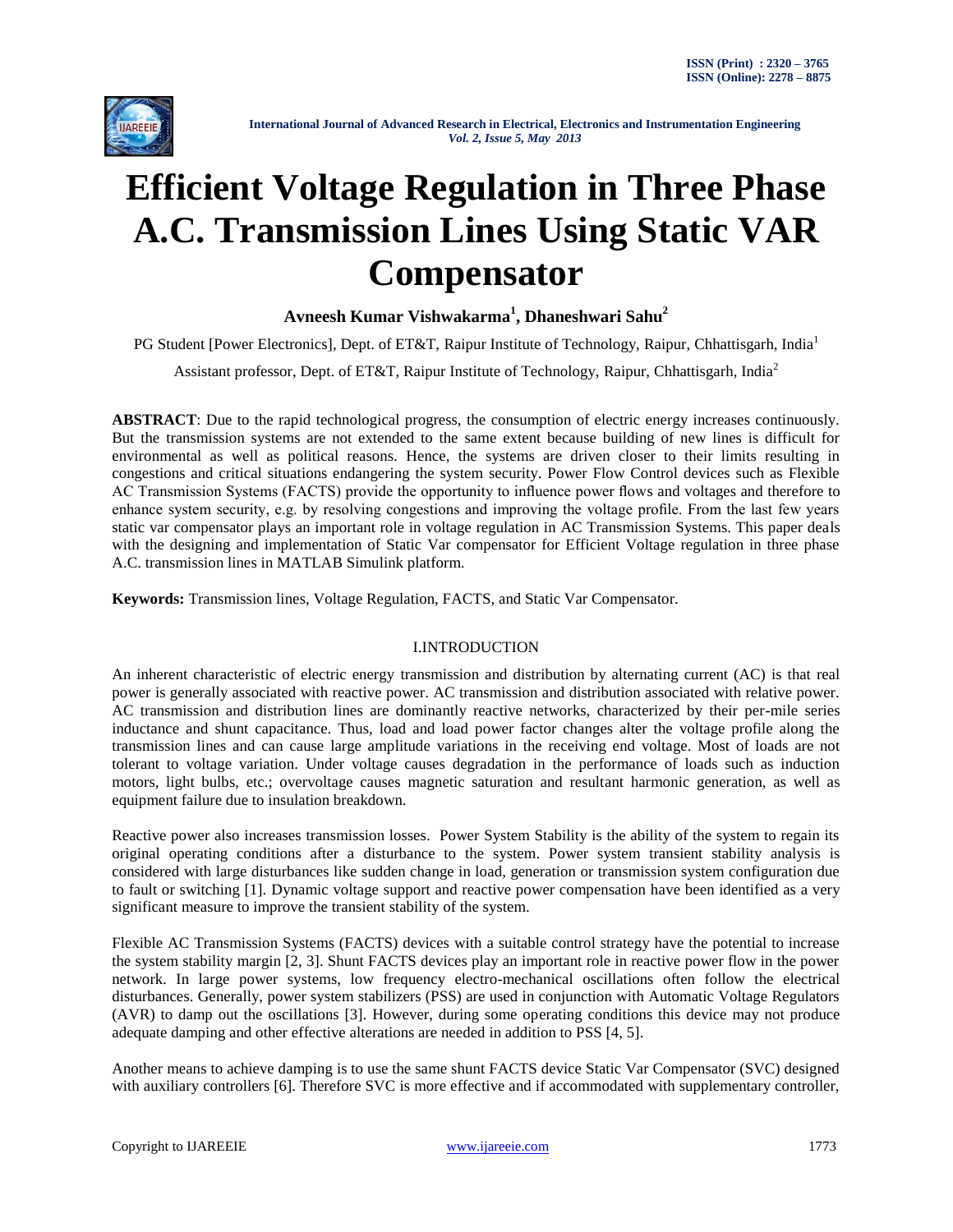

# **Efficient Voltage Regulation in Three Phase A.C. Transmission Lines Using Static VAR Compensator**

# **Avneesh Kumar Vishwakarma<sup>1</sup> , Dhaneshwari Sahu<sup>2</sup>**

PG Student [Power Electronics], Dept. of ET&T, Raipur Institute of Technology, Raipur, Chhattisgarh, India<sup>1</sup>

Assistant professor, Dept. of ET&T, Raipur Institute of Technology, Raipur, Chhattisgarh, India<sup>2</sup>

**ABSTRACT**: Due to the rapid technological progress, the consumption of electric energy increases continuously. But the transmission systems are not extended to the same extent because building of new lines is difficult for environmental as well as political reasons. Hence, the systems are driven closer to their limits resulting in congestions and critical situations endangering the system security. Power Flow Control devices such as Flexible AC Transmission Systems (FACTS) provide the opportunity to influence power flows and voltages and therefore to enhance system security, e.g. by resolving congestions and improving the voltage profile. From the last few years static var compensator plays an important role in voltage regulation in AC Transmission Systems. This paper deals with the designing and implementation of Static Var compensator for Efficient Voltage regulation in three phase A.C. transmission lines in MATLAB Simulink platform.

**Keywords:** Transmission lines, Voltage Regulation, FACTS, and Static Var Compensator.

# I.INTRODUCTION

An inherent characteristic of electric energy transmission and distribution by alternating current (AC) is that real power is generally associated with reactive power. AC transmission and distribution associated with relative power. AC transmission and distribution lines are dominantly reactive networks, characterized by their per-mile series inductance and shunt capacitance. Thus, load and load power factor changes alter the voltage profile along the transmission lines and can cause large amplitude variations in the receiving end voltage. Most of loads are not tolerant to voltage variation. Under voltage causes degradation in the performance of loads such as induction motors, light bulbs, etc.; overvoltage causes magnetic saturation and resultant harmonic generation, as well as equipment failure due to insulation breakdown.

Reactive power also increases transmission losses. Power System Stability is the ability of the system to regain its original operating conditions after a disturbance to the system. Power system transient stability analysis is considered with large disturbances like sudden change in load, generation or transmission system configuration due to fault or switching [1]. Dynamic voltage support and reactive power compensation have been identified as a very significant measure to improve the transient stability of the system.

Flexible AC Transmission Systems (FACTS) devices with a suitable control strategy have the potential to increase the system stability margin [2, 3]. Shunt FACTS devices play an important role in reactive power flow in the power network. In large power systems, low frequency electro-mechanical oscillations often follow the electrical disturbances. Generally, power system stabilizers (PSS) are used in conjunction with Automatic Voltage Regulators (AVR) to damp out the oscillations [3]. However, during some operating conditions this device may not produce adequate damping and other effective alterations are needed in addition to PSS [4, 5].

Another means to achieve damping is to use the same shunt FACTS device Static Var Compensator (SVC) designed with auxiliary controllers [6]. Therefore SVC is more effective and if accommodated with supplementary controller,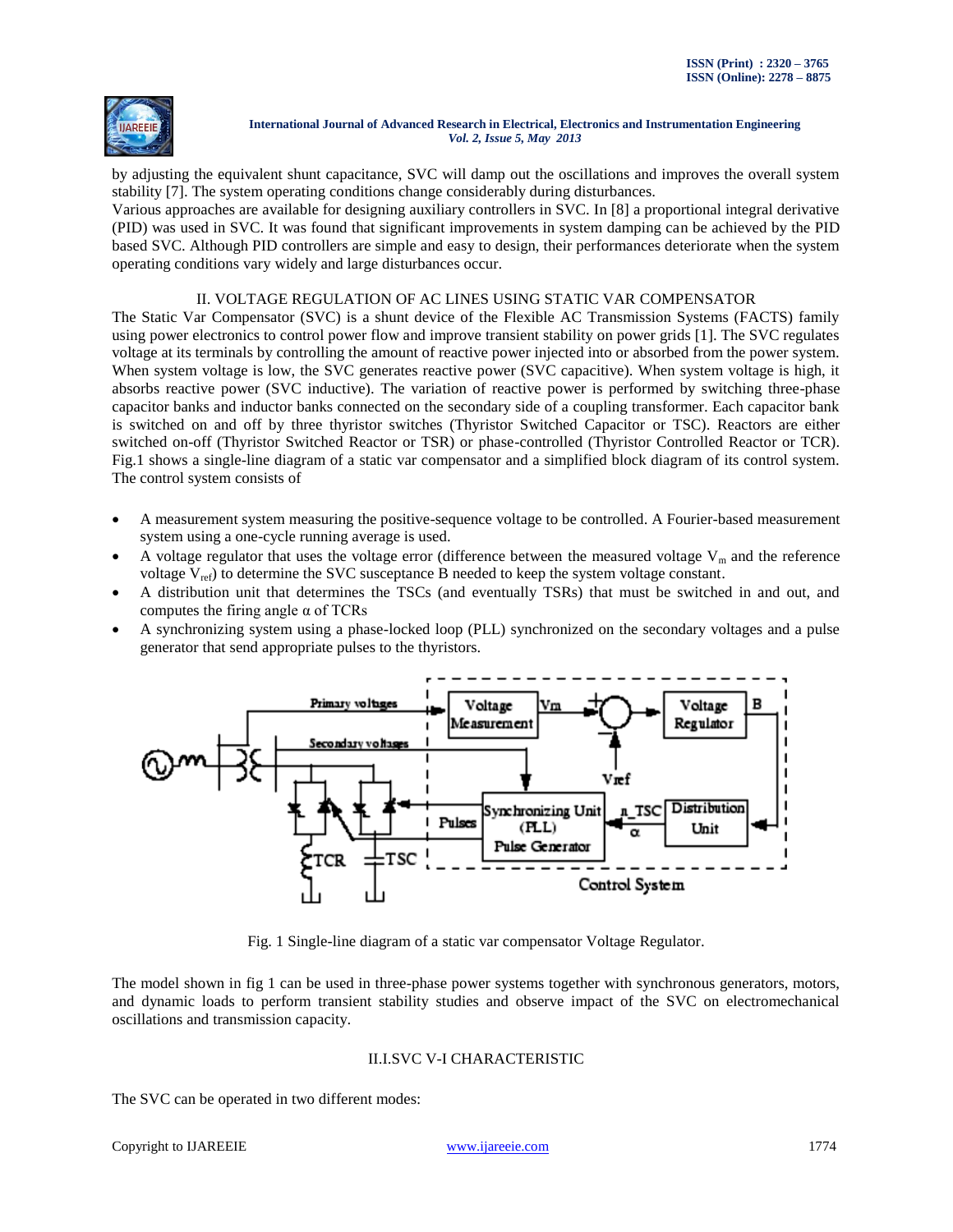

by adjusting the equivalent shunt capacitance, SVC will damp out the oscillations and improves the overall system stability [7]. The system operating conditions change considerably during disturbances.

Various approaches are available for designing auxiliary controllers in SVC. In [8] a proportional integral derivative (PID) was used in SVC. It was found that significant improvements in system damping can be achieved by the PID based SVC. Although PID controllers are simple and easy to design, their performances deteriorate when the system operating conditions vary widely and large disturbances occur.

## II. VOLTAGE REGULATION OF AC LINES USING STATIC VAR COMPENSATOR

The Static Var Compensator (SVC) is a shunt device of the Flexible AC Transmission Systems (FACTS) family using power electronics to control power flow and improve transient stability on power grids [1]. The SVC regulates voltage at its terminals by controlling the amount of reactive power injected into or absorbed from the power system. When system voltage is low, the SVC generates reactive power (SVC capacitive). When system voltage is high, it absorbs reactive power (SVC inductive). The variation of reactive power is performed by switching three-phase capacitor banks and inductor banks connected on the secondary side of a coupling transformer. Each capacitor bank is switched on and off by three thyristor switches (Thyristor Switched Capacitor or TSC). Reactors are either switched on-off (Thyristor Switched Reactor or TSR) or phase-controlled (Thyristor Controlled Reactor or TCR). Fig.1 shows a single-line diagram of a static var compensator and a simplified block diagram of its control system. The control system consists of

- A measurement system measuring the positive-sequence voltage to be controlled. A Fourier-based measurement system using a one-cycle running average is used.
- A voltage regulator that uses the voltage error (difference between the measured voltage  $V_m$  and the reference voltage  $V_{ref}$ ) to determine the SVC susceptance B needed to keep the system voltage constant.
- A distribution unit that determines the TSCs (and eventually TSRs) that must be switched in and out, and computes the firing angle  $\alpha$  of TCRs
- A synchronizing system using a phase-locked loop (PLL) synchronized on the secondary voltages and a pulse generator that send appropriate pulses to the thyristors.



Fig. 1 Single-line diagram of a static var compensator Voltage Regulator.

The model shown in fig 1 can be used in three-phase power systems together with synchronous generators, motors, and dynamic loads to perform transient stability studies and observe impact of the SVC on electromechanical oscillations and transmission capacity.

## II.I.SVC V-I CHARACTERISTIC

The SVC can be operated in two different modes: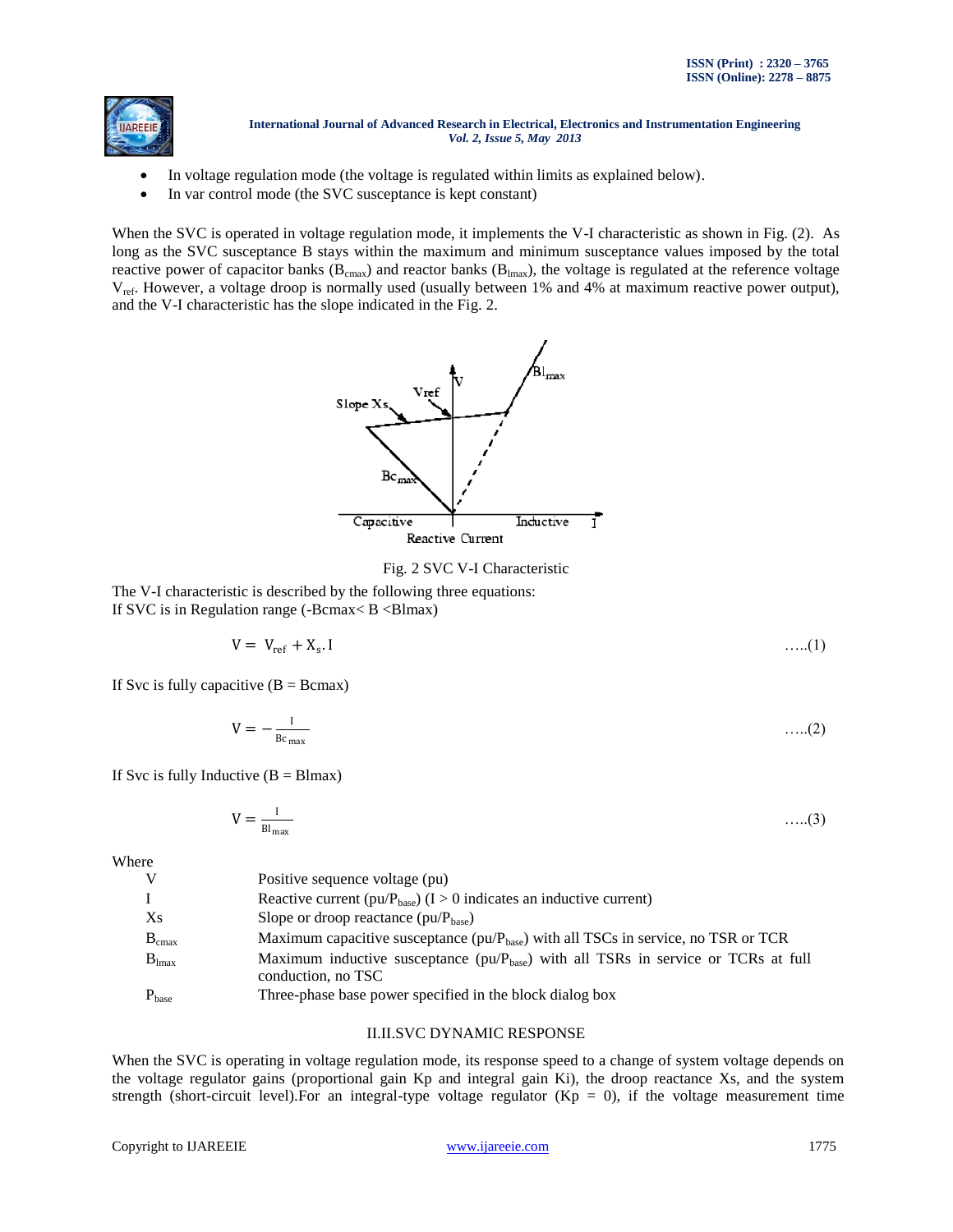

- In voltage regulation mode (the voltage is regulated within limits as explained below).
- In var control mode (the SVC susceptance is kept constant)

When the SVC is operated in voltage regulation mode, it implements the V-I characteristic as shown in Fig. (2). As long as the SVC susceptance B stays within the maximum and minimum susceptance values imposed by the total reactive power of capacitor banks ( $B_{cmax}$ ) and reactor banks ( $B_{lmax}$ ), the voltage is regulated at the reference voltage  $V_{ref}$ . However, a voltage droop is normally used (usually between 1% and 4% at maximum reactive power output), and the V-I characteristic has the slope indicated in the Fig. 2.



## Fig. 2 SVC V-I Characteristic

The V-I characteristic is described by the following three equations: If SVC is in Regulation range (-Bcmax $<$  B  $<$ Blmax)

$$
V = V_{ref} + X_s. I \tag{1}
$$

If Svc is fully capacitive  $(B = Bcmax)$ 

$$
V = -\frac{1}{Bc_{\text{max}}} \tag{2}
$$

If Svc is fully Inductive  $(B = Blmax)$ 

$$
V = \frac{I}{Bl_{\text{max}}} \tag{3}
$$

Where

| V          | Positive sequence voltage (pu)                                                                                 |
|------------|----------------------------------------------------------------------------------------------------------------|
|            | Reactive current ( $pu/P_{base}$ ) ( $I > 0$ indicates an inductive current)                                   |
| Xs         | Slope or droop reactance $(pu/P_{base})$                                                                       |
| $B_{cmax}$ | Maximum capacitive susceptance ( $pu/P_{base}$ ) with all TSCs in service, no TSR or TCR                       |
| $B_{lmax}$ | Maximum inductive susceptance ( $pu/P_{base}$ ) with all TSRs in service or TCRs at full<br>conduction, no TSC |
| $P_{base}$ | Three-phase base power specified in the block dialog box                                                       |

## II.II.SVC DYNAMIC RESPONSE

When the SVC is operating in voltage regulation mode, its response speed to a change of system voltage depends on the voltage regulator gains (proportional gain Kp and integral gain Ki), the droop reactance Xs, and the system strength (short-circuit level). For an integral-type voltage regulator ( $Kp = 0$ ), if the voltage measurement time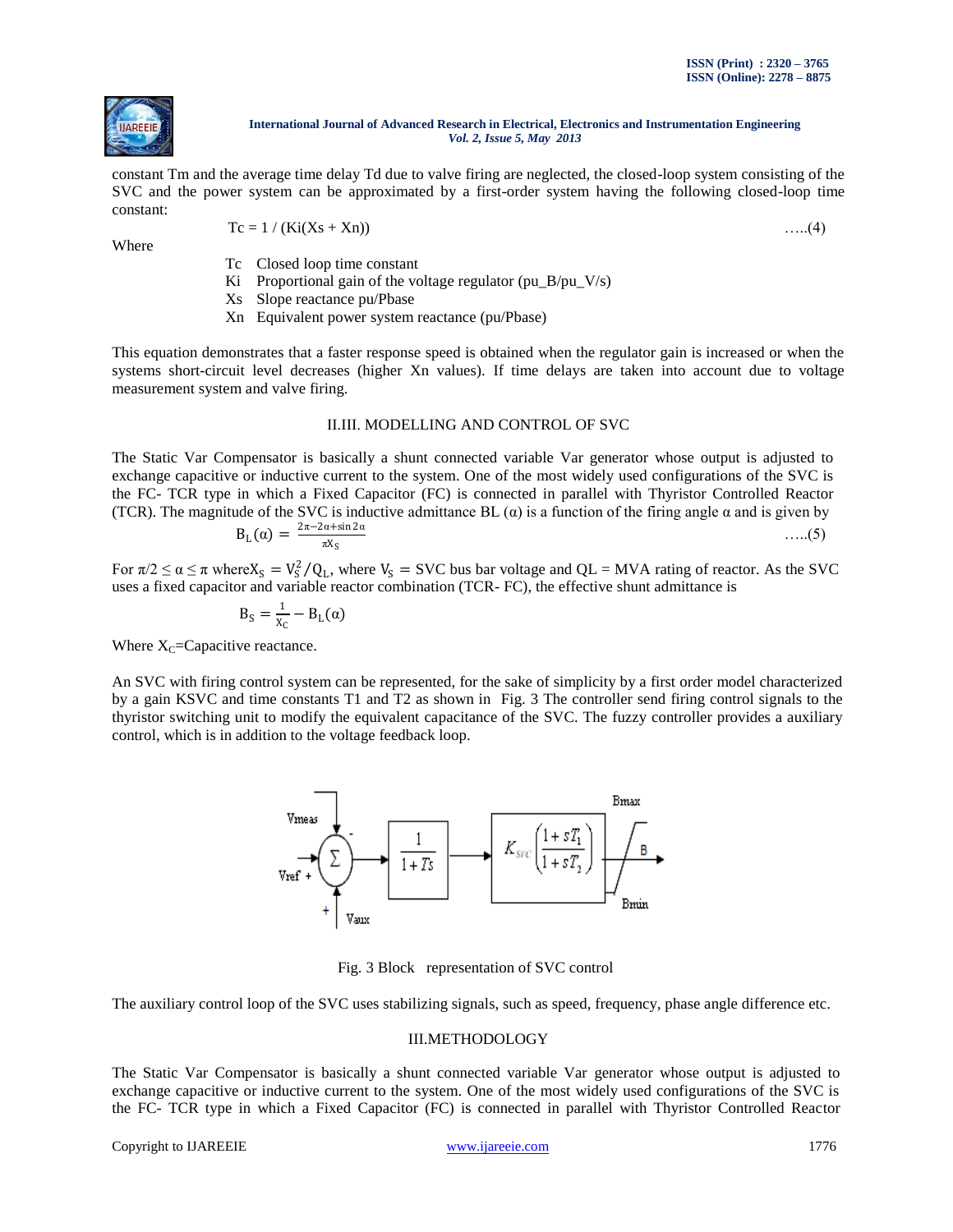

constant Tm and the average time delay Td due to valve firing are neglected, the closed-loop system consisting of the SVC and the power system can be approximated by a first-order system having the following closed-loop time constant:

Where

$$
Tc = 1 / (Ki(Xs + Xn))
$$
...(4)

- Tc Closed loop time constant
- Ki Proportional gain of the voltage regulator (pu\_B/pu\_V/s)
- Xs Slope reactance pu/Pbase
- Xn Equivalent power system reactance (pu/Pbase)

This equation demonstrates that a faster response speed is obtained when the regulator gain is increased or when the systems short-circuit level decreases (higher Xn values). If time delays are taken into account due to voltage measurement system and valve firing.

## II.III. MODELLING AND CONTROL OF SVC

The Static Var Compensator is basically a shunt connected variable Var generator whose output is adjusted to exchange capacitive or inductive current to the system. One of the most widely used configurations of the SVC is the FC- TCR type in which a Fixed Capacitor (FC) is connected in parallel with Thyristor Controlled Reactor (TCR). The magnitude of the SVC is inductive admittance BL  $(\alpha)$  is a function of the firing angle  $\alpha$  and is given by B<sup>L</sup> 2π−2α+sin 2α

$$
B_{L}(\alpha) = \frac{2\pi - 2\alpha + \sin 2\alpha}{\pi X_{S}} \tag{5}
$$

For  $\pi/2 \le \alpha \le \pi$  where  $X_S = V_S^2 / Q_L$ , where  $V_S = SVC$  bus bar voltage and QL = MVA rating of reactor. As the SVC uses a fixed capacitor and variable reactor combination (TCR- FC), the effective shunt admittance is

$$
B_{S} = \frac{1}{X_{C}} - B_{L}(\alpha)
$$

Where  $X_C$ =Capacitive reactance.

An SVC with firing control system can be represented, for the sake of simplicity by a first order model characterized by a gain KSVC and time constants T1 and T2 as shown in Fig. 3 The controller send firing control signals to the thyristor switching unit to modify the equivalent capacitance of the SVC. The fuzzy controller provides a auxiliary control, which is in addition to the voltage feedback loop.



Fig. 3 Block representation of SVC control

The auxiliary control loop of the SVC uses stabilizing signals, such as speed, frequency, phase angle difference etc.

# III.METHODOLOGY

The Static Var Compensator is basically a shunt connected variable Var generator whose output is adjusted to exchange capacitive or inductive current to the system. One of the most widely used configurations of the SVC is the FC- TCR type in which a Fixed Capacitor (FC) is connected in parallel with Thyristor Controlled Reactor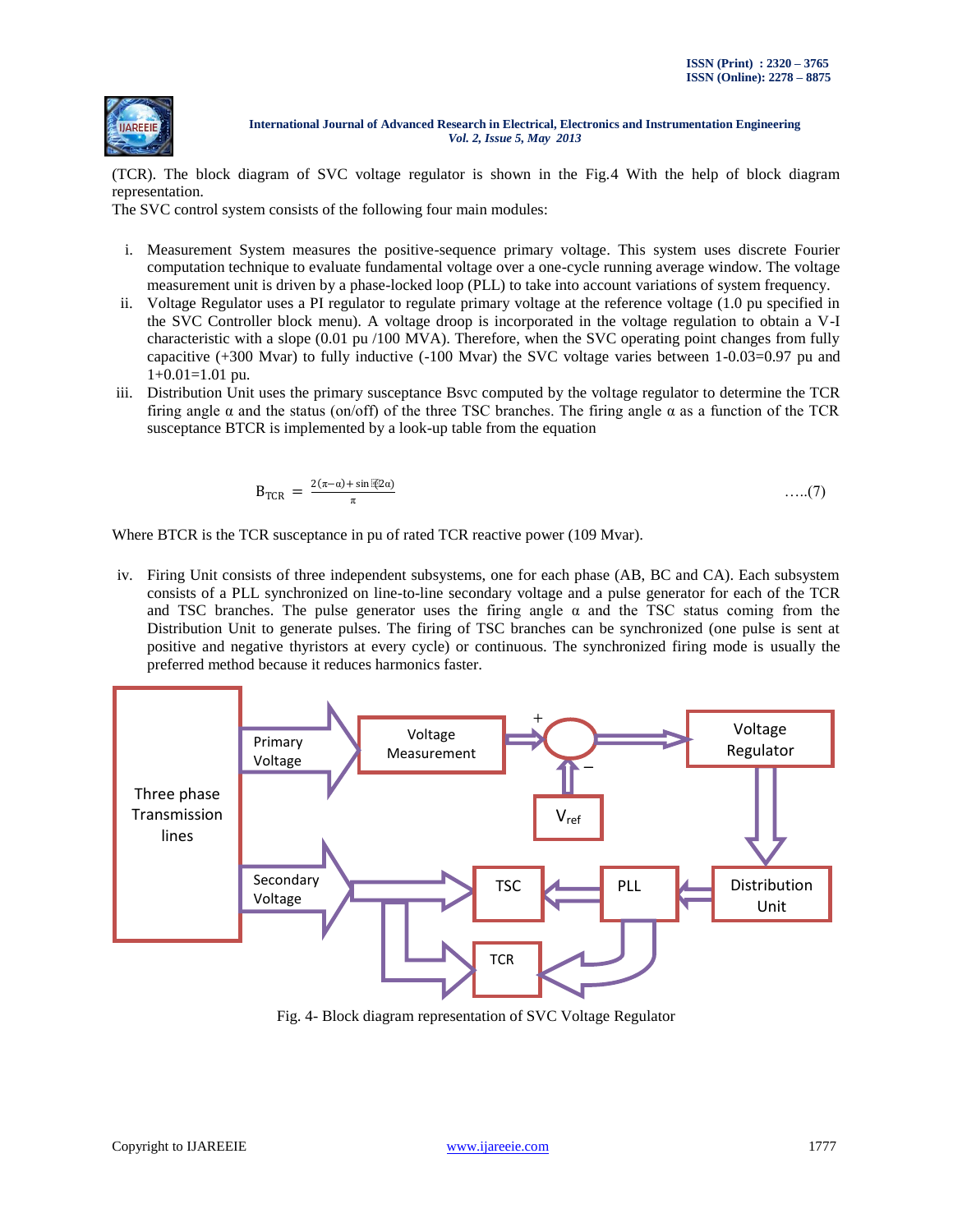

(TCR). The block diagram of SVC voltage regulator is shown in the Fig.4 With the help of block diagram representation.

The SVC control system consists of the following four main modules:

- i. Measurement System measures the positive-sequence primary voltage. This system uses discrete Fourier computation technique to evaluate fundamental voltage over a one-cycle running average window. The voltage measurement unit is driven by a phase-locked loop (PLL) to take into account variations of system frequency.
- ii. Voltage Regulator uses a PI regulator to regulate primary voltage at the reference voltage (1.0 pu specified in the SVC Controller block menu). A voltage droop is incorporated in the voltage regulation to obtain a V-I characteristic with a slope (0.01 pu /100 MVA). Therefore, when the SVC operating point changes from fully capacitive (+300 Mvar) to fully inductive (-100 Mvar) the SVC voltage varies between 1-0.03=0.97 pu and  $1+0.01=1.01$  pu.
- iii. Distribution Unit uses the primary susceptance Bsvc computed by the voltage regulator to determine the TCR firing angle  $\alpha$  and the status (on/off) of the three TSC branches. The firing angle  $\alpha$  as a function of the TCR susceptance BTCR is implemented by a look-up table from the equation

$$
B_{TCR} = \frac{2(\pi - \alpha) + \sin[\mathbb{Z}2\alpha]}{\pi} \tag{7}
$$

Where BTCR is the TCR susceptance in pu of rated TCR reactive power (109 Mvar).

iv. Firing Unit consists of three independent subsystems, one for each phase (AB, BC and CA). Each subsystem consists of a PLL synchronized on line-to-line secondary voltage and a pulse generator for each of the TCR and TSC branches. The pulse generator uses the firing angle  $\alpha$  and the TSC status coming from the Distribution Unit to generate pulses. The firing of TSC branches can be synchronized (one pulse is sent at positive and negative thyristors at every cycle) or continuous. The synchronized firing mode is usually the preferred method because it reduces harmonics faster.



Fig. 4- Block diagram representation of SVC Voltage Regulator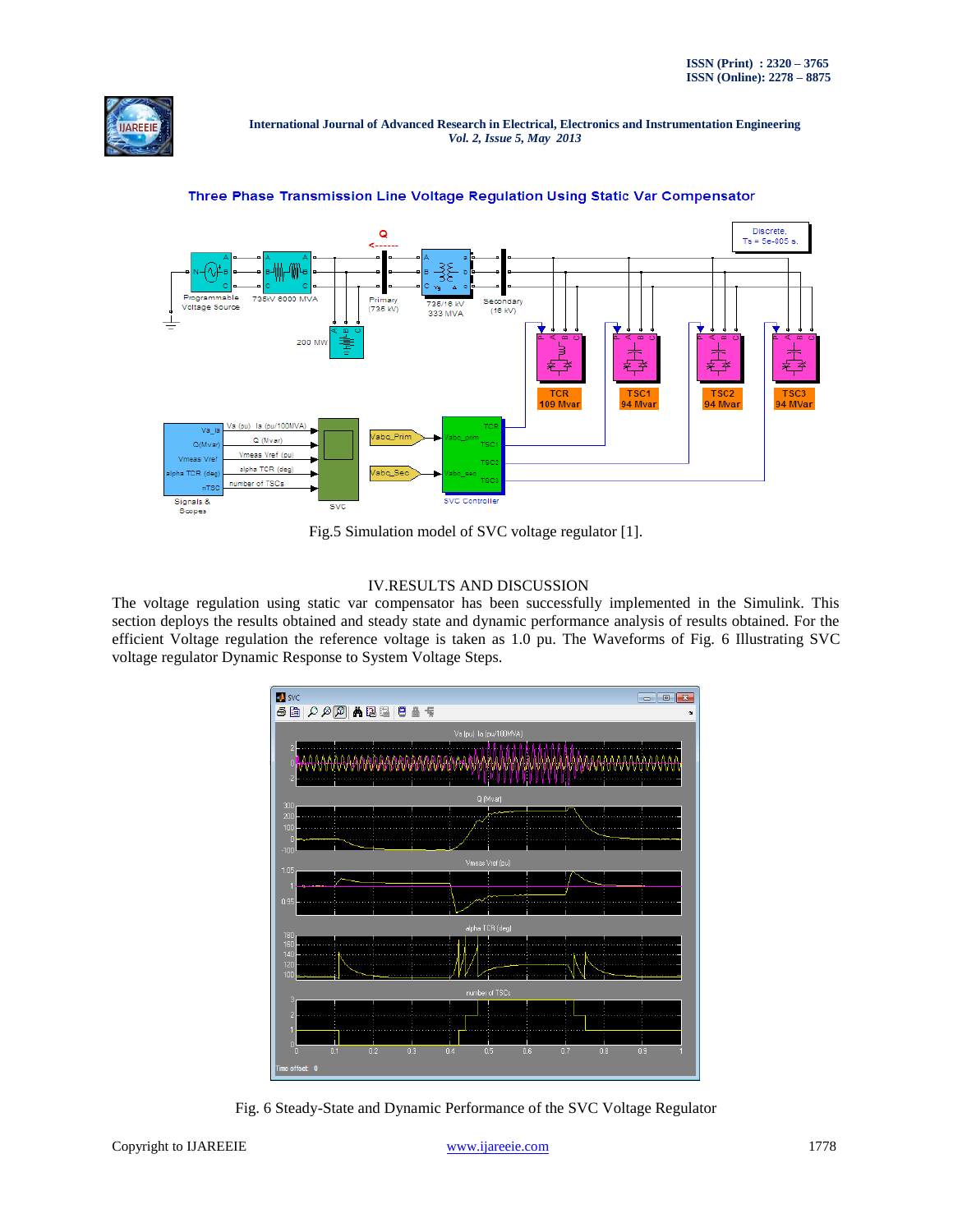



Three Phase Transmission Line Voltage Regulation Using Static Var Compensator

Fig.5 Simulation model of SVC voltage regulator [1].

## IV.RESULTS AND DISCUSSION

The voltage regulation using static var compensator has been successfully implemented in the Simulink. This section deploys the results obtained and steady state and dynamic performance analysis of results obtained. For the efficient Voltage regulation the reference voltage is taken as 1.0 pu. The Waveforms of Fig. 6 Illustrating SVC voltage regulator Dynamic Response to System Voltage Steps.



Fig. 6 Steady-State and Dynamic Performance of the SVC Voltage Regulator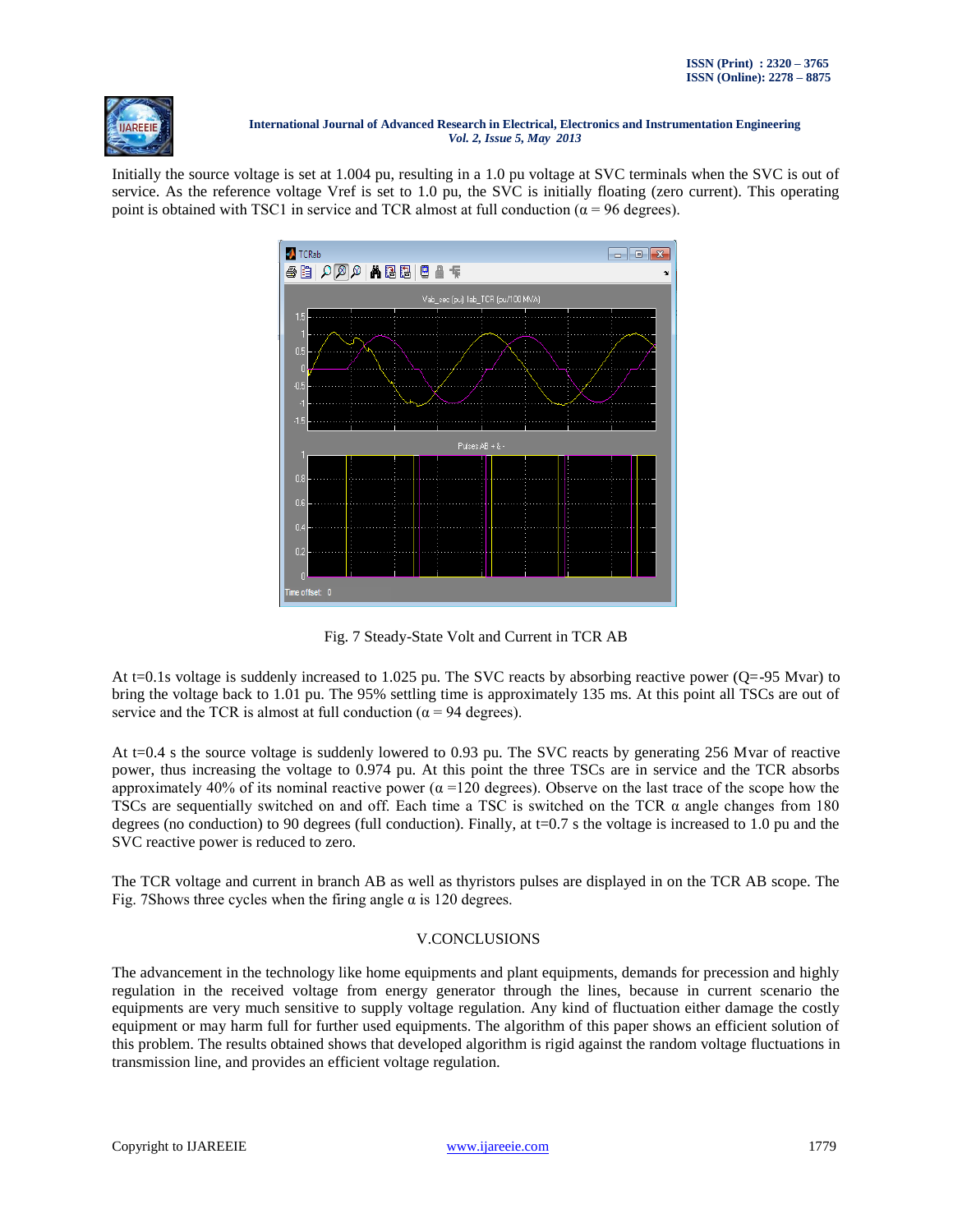

Initially the source voltage is set at 1.004 pu, resulting in a 1.0 pu voltage at SVC terminals when the SVC is out of service. As the reference voltage Vref is set to 1.0 pu, the SVC is initially floating (zero current). This operating point is obtained with TSC1 in service and TCR almost at full conduction ( $\alpha$  = 96 degrees).



Fig. 7 Steady-State Volt and Current in TCR AB

At t=0.1s voltage is suddenly increased to 1.025 pu. The SVC reacts by absorbing reactive power (Q=-95 Mvar) to bring the voltage back to 1.01 pu. The 95% settling time is approximately 135 ms. At this point all TSCs are out of service and the TCR is almost at full conduction ( $\alpha$  = 94 degrees).

At t=0.4 s the source voltage is suddenly lowered to 0.93 pu. The SVC reacts by generating 256 Mvar of reactive power, thus increasing the voltage to 0.974 pu. At this point the three TSCs are in service and the TCR absorbs approximately 40% of its nominal reactive power  $(\alpha = 120$  degrees). Observe on the last trace of the scope how the TSCs are sequentially switched on and off. Each time a TSC is switched on the TCR  $\alpha$  angle changes from 180 degrees (no conduction) to 90 degrees (full conduction). Finally, at  $t=0.7$  s the voltage is increased to 1.0 pu and the SVC reactive power is reduced to zero.

The TCR voltage and current in branch AB as well as thyristors pulses are displayed in on the TCR AB scope. The Fig. 7Shows three cycles when the firing angle  $\alpha$  is 120 degrees.

# V.CONCLUSIONS

The advancement in the technology like home equipments and plant equipments, demands for precession and highly regulation in the received voltage from energy generator through the lines, because in current scenario the equipments are very much sensitive to supply voltage regulation. Any kind of fluctuation either damage the costly equipment or may harm full for further used equipments. The algorithm of this paper shows an efficient solution of this problem. The results obtained shows that developed algorithm is rigid against the random voltage fluctuations in transmission line, and provides an efficient voltage regulation.